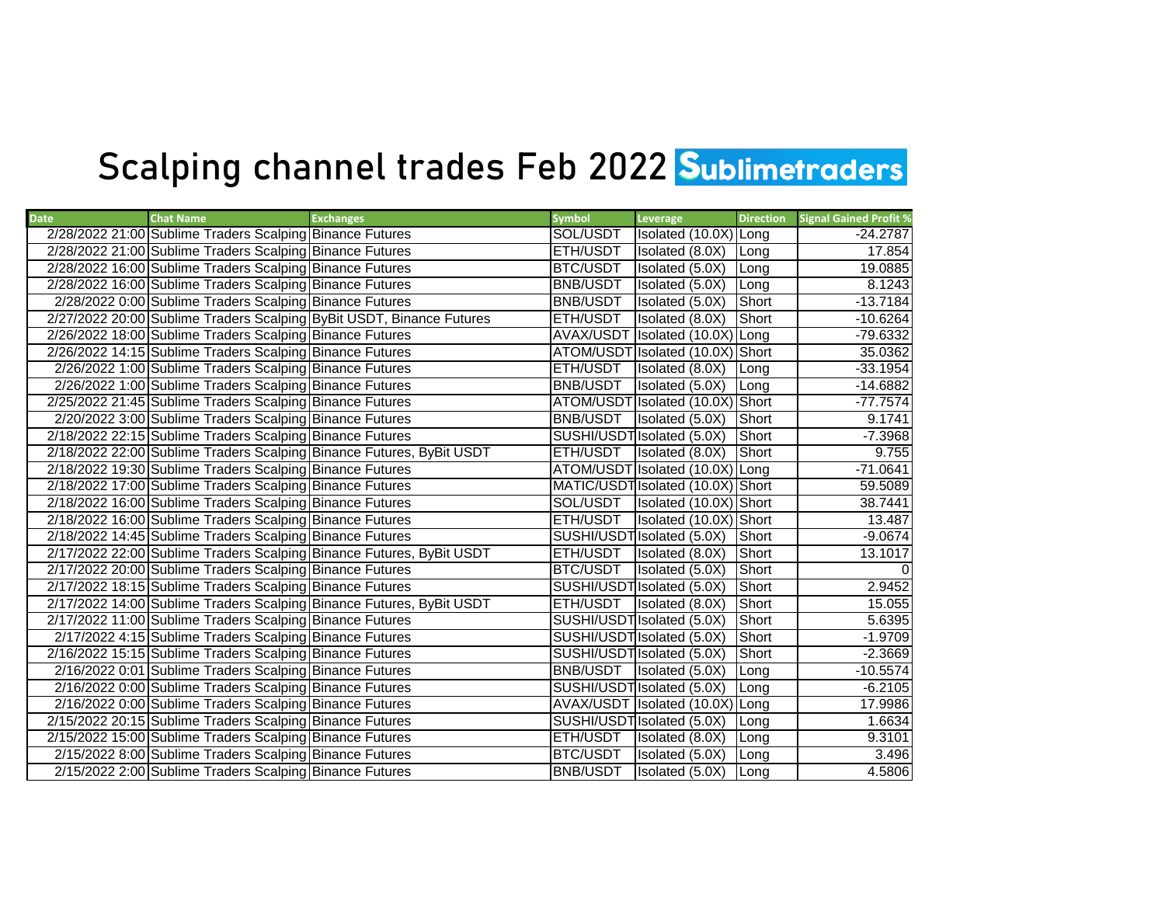## Scalping channel trades Feb 2022 Sublimetraders

| <b>Date</b> | <b>Chat Name</b>                                         | <b>Exchanges</b>                                                     | <b>Symbol</b>   | Leverage                          | <b>Direction</b> | <b>Signal Gained Profit %</b> |
|-------------|----------------------------------------------------------|----------------------------------------------------------------------|-----------------|-----------------------------------|------------------|-------------------------------|
|             | 2/28/2022 21:00 Sublime Traders Scalping Binance Futures |                                                                      | SOL/USDT        | Isolated (10.0X) Long             |                  | $-24.2787$                    |
|             | 2/28/2022 21:00 Sublime Traders Scalping Binance Futures |                                                                      | ETH/USDT        | Isolated (8.0X)                   | Long             | 17.854                        |
|             | 2/28/2022 16:00 Sublime Traders Scalping Binance Futures |                                                                      | BTC/USDT        | Isolated (5.0X)                   | Long             | 19.0885                       |
|             | 2/28/2022 16:00 Sublime Traders Scalping Binance Futures |                                                                      | <b>BNB/USDT</b> | Isolated (5.0X)                   | Long             | 8.1243                        |
|             | 2/28/2022 0:00 Sublime Traders Scalping Binance Futures  |                                                                      | <b>BNB/USDT</b> | Isolated (5.0X)                   | <b>Short</b>     | $-13.7184$                    |
|             |                                                          | 2/27/2022 20:00 Sublime Traders Scalping ByBit USDT, Binance Futures | <b>ETH/USDT</b> | Isolated (8.0X)                   | Short            | $-10.6264$                    |
|             | 2/26/2022 18:00 Sublime Traders Scalping Binance Futures |                                                                      |                 | AVAX/USDT Isolated (10.0X) Long   |                  | -79.6332                      |
|             | 2/26/2022 14:15 Sublime Traders Scalping Binance Futures |                                                                      |                 | ATOM/USDT Isolated (10.0X) Short  |                  | 35.0362                       |
|             | 2/26/2022 1:00 Sublime Traders Scalping Binance Futures  |                                                                      | ETH/USDT        | Isolated (8.0X)                   | Long             | $-33.1954$                    |
|             | 2/26/2022 1:00 Sublime Traders Scalping Binance Futures  |                                                                      | <b>BNB/USDT</b> | Isolated (5.0X)                   | Long             | $-14.6882$                    |
|             | 2/25/2022 21:45 Sublime Traders Scalping Binance Futures |                                                                      |                 | ATOM/USDT Isolated (10.0X) Short  |                  | $-77.7574$                    |
|             | 2/20/2022 3:00 Sublime Traders Scalping Binance Futures  |                                                                      | <b>BNB/USDT</b> | <b>Isolated</b> (5.0X)            | <b>I</b> Short   | 9.1741                        |
|             | 2/18/2022 22:15 Sublime Traders Scalping Binance Futures |                                                                      |                 | SUSHI/USDT Isolated (5.0X)        | Short            | $-7.3968$                     |
|             |                                                          | 2/18/2022 22:00 Sublime Traders Scalping Binance Futures, ByBit USDT | ETH/USDT        | Isolated (8.0X)                   | Short            | 9.755                         |
|             | 2/18/2022 19:30 Sublime Traders Scalping Binance Futures |                                                                      |                 | ATOM/USDT Isolated (10.0X) Long   |                  | $-71.0641$                    |
|             | 2/18/2022 17:00 Sublime Traders Scalping Binance Futures |                                                                      |                 | MATIC/USDT Isolated (10.0X) Short |                  | 59.5089                       |
|             | 2/18/2022 16:00 Sublime Traders Scalping Binance Futures |                                                                      | SOL/USDT        | Isolated (10.0X) Short            |                  | 38.7441                       |
|             | 2/18/2022 16:00 Sublime Traders Scalping Binance Futures |                                                                      | ETH/USDT        | Isolated (10.0X) Short            |                  | 13.487                        |
|             | 2/18/2022 14:45 Sublime Traders Scalping Binance Futures |                                                                      |                 | SUSHI/USDT Isolated (5.0X)        | Short            | $-9.0674$                     |
|             |                                                          | 2/17/2022 22:00 Sublime Traders Scalping Binance Futures, ByBit USDT |                 | ETH/USDT   Isolated (8.0X)        | Short            | 13.1017                       |
|             | 2/17/2022 20:00 Sublime Traders Scalping Binance Futures |                                                                      | <b>BTC/USDT</b> | Isolated (5.0X)                   | Short            |                               |
|             | 2/17/2022 18:15 Sublime Traders Scalping Binance Futures |                                                                      |                 | SUSHI/USDT Isolated (5.0X)        | Short            | 2.9452                        |
|             |                                                          | 2/17/2022 14:00 Sublime Traders Scalping Binance Futures, ByBit USDT |                 | ETH/USDT   Isolated (8.0X)        | Short            | 15.055                        |
|             | 2/17/2022 11:00 Sublime Traders Scalping Binance Futures |                                                                      |                 | SUSHI/USDT Isolated (5.0X)        | Short            | 5.6395                        |
|             | 2/17/2022 4:15 Sublime Traders Scalping Binance Futures  |                                                                      |                 | SUSHI/USDT Isolated (5.0X)        | Short            | $-1.9709$                     |
|             | 2/16/2022 15:15 Sublime Traders Scalping Binance Futures |                                                                      |                 | SUSHI/USDT Isolated (5.0X)        | Short            | $-2.3669$                     |
|             | 2/16/2022 0:01 Sublime Traders Scalping Binance Futures  |                                                                      |                 | BNB/USDT   Isolated (5.0X)        | Long             | $-10.5574$                    |
|             | 2/16/2022 0:00 Sublime Traders Scalping Binance Futures  |                                                                      |                 | SUSHI/USDT Isolated (5.0X)        | Long             | $-6.2105$                     |
|             | 2/16/2022 0:00 Sublime Traders Scalping Binance Futures  |                                                                      |                 | AVAX/USDT Isolated (10.0X) Long   |                  | 17.9986                       |
|             | 2/15/2022 20:15 Sublime Traders Scalping Binance Futures |                                                                      |                 | SUSHI/USDT Isolated (5.0X)        | Long             | 1.6634                        |
|             | 2/15/2022 15:00 Sublime Traders Scalping Binance Futures |                                                                      | ETH/USDT        | Isolated (8.0X)                   | Long             | 9.3101                        |
|             | 2/15/2022 8:00 Sublime Traders Scalping Binance Futures  |                                                                      | BTC/USDT        | Isolated (5.0X)                   | Long             | 3.496                         |
|             | 2/15/2022 2:00 Sublime Traders Scalping Binance Futures  |                                                                      | <b>BNB/USDT</b> | Isolated (5.0X)                   | Long             | 4.5806                        |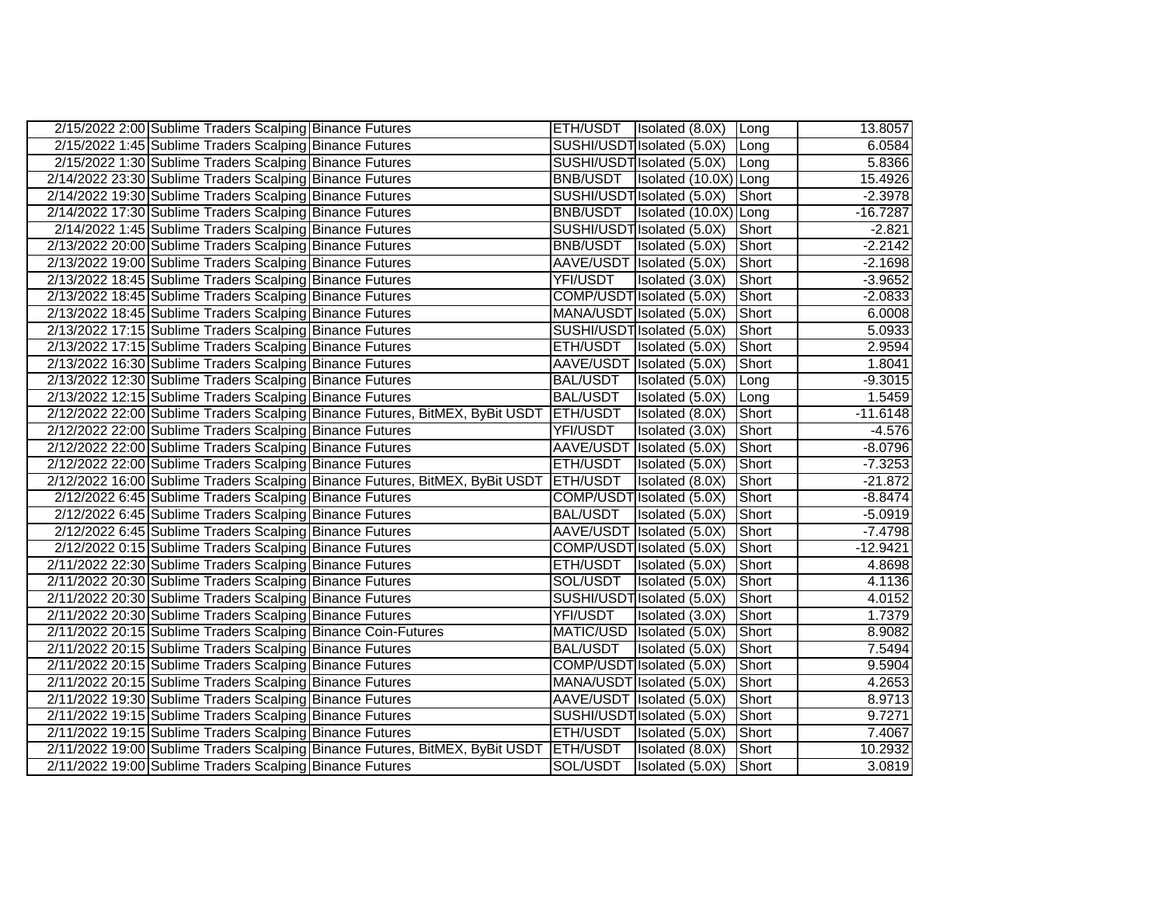| 2/15/2022 2:00 Sublime Traders Scalping Binance Futures       |                                                                                       |                 | ETH/USDT   Isolated (8.0X)   Long |              | 13.8057    |
|---------------------------------------------------------------|---------------------------------------------------------------------------------------|-----------------|-----------------------------------|--------------|------------|
| 2/15/2022 1:45 Sublime Traders Scalping Binance Futures       |                                                                                       |                 | SUSHI/USDT Isolated (5.0X)        | Long         | 6.0584     |
| 2/15/2022 1:30 Sublime Traders Scalping Binance Futures       |                                                                                       |                 | SUSHI/USDT Isolated (5.0X)        | Long         | 5.8366     |
| 2/14/2022 23:30 Sublime Traders Scalping Binance Futures      |                                                                                       |                 | BNB/USDT   Isolated (10.0X) Long  |              | 15.4926    |
| 2/14/2022 19:30 Sublime Traders Scalping Binance Futures      |                                                                                       |                 | SUSHI/USDT Isolated (5.0X)        | <b>Short</b> | $-2.3978$  |
| 2/14/2022 17:30 Sublime Traders Scalping Binance Futures      |                                                                                       |                 | BNB/USDT   Isolated (10.0X) Long  |              | $-16.7287$ |
| 2/14/2022 1:45 Sublime Traders Scalping Binance Futures       |                                                                                       |                 | SUSHI/USDT Isolated (5.0X)        | Short        | $-2.821$   |
| 2/13/2022 20:00 Sublime Traders Scalping Binance Futures      |                                                                                       | BNB/USDT        | Isolated (5.0X)                   | Short        | $-2.2142$  |
| 2/13/2022 19:00 Sublime Traders Scalping Binance Futures      |                                                                                       |                 | AAVE/USDT Isolated (5.0X)         | Short        | $-2.1698$  |
| 2/13/2022 18:45 Sublime Traders Scalping Binance Futures      |                                                                                       | YFI/USDT        | Isolated (3.0X)                   | Short        | $-3.9652$  |
| 2/13/2022 18:45 Sublime Traders Scalping Binance Futures      |                                                                                       |                 | COMP/USDT Isolated (5.0X)         | Short        | $-2.0833$  |
| 2/13/2022 18:45 Sublime Traders Scalping Binance Futures      |                                                                                       |                 | MANA/USDT Isolated (5.0X)         | Short        | 6.0008     |
| 2/13/2022 17:15 Sublime Traders Scalping Binance Futures      |                                                                                       |                 | SUSHI/USDT Isolated (5.0X)        | Short        | 5.0933     |
| 2/13/2022 17:15 Sublime Traders Scalping Binance Futures      |                                                                                       | ETH/USDT        | Isolated (5.0X)                   | Short        | 2.9594     |
| 2/13/2022 16:30 Sublime Traders Scalping Binance Futures      |                                                                                       |                 | AAVE/USDT Isolated (5.0X)         | Short        | 1.8041     |
| 2/13/2022 12:30 Sublime Traders Scalping Binance Futures      |                                                                                       | <b>BAL/USDT</b> | Isolated (5.0X)                   | Long         | $-9.3015$  |
| 2/13/2022 12:15 Sublime Traders Scalping Binance Futures      |                                                                                       | <b>BAL/USDT</b> | Isolated (5.0X)                   | Long         | 1.5459     |
|                                                               | 2/12/2022 22:00 Sublime Traders Scalping Binance Futures, BitMEX, ByBit USDT ETH/USDT |                 | Isolated (8.0X)                   | Short        | $-11.6148$ |
| 2/12/2022 22:00 Sublime Traders Scalping Binance Futures      |                                                                                       | YFI/USDT        | Isolated (3.0X)                   | Short        | $-4.576$   |
| 2/12/2022 22:00 Sublime Traders Scalping Binance Futures      |                                                                                       |                 | AAVE/USDT Isolated (5.0X)         | Short        | $-8.0796$  |
| 2/12/2022 22:00 Sublime Traders Scalping Binance Futures      |                                                                                       | ETH/USDT        | Isolated (5.0X)                   | Short        | $-7.3253$  |
|                                                               | 2/12/2022 16:00 Sublime Traders Scalping Binance Futures, BitMEX, ByBit USDT          | <b>ETH/USDT</b> | Isolated (8.0X)                   | Short        | $-21.872$  |
| 2/12/2022 6:45 Sublime Traders Scalping Binance Futures       |                                                                                       |                 | COMP/USDT Isolated (5.0X)         | Short        | $-8.8474$  |
| 2/12/2022 6:45 Sublime Traders Scalping Binance Futures       |                                                                                       | <b>BAL/USDT</b> | Isolated (5.0X)                   | Short        | $-5.0919$  |
| 2/12/2022 6:45 Sublime Traders Scalping Binance Futures       |                                                                                       |                 | AAVE/USDT Isolated (5.0X)         | Short        | $-7.4798$  |
| 2/12/2022 0:15 Sublime Traders Scalping Binance Futures       |                                                                                       |                 | COMP/USDT Isolated (5.0X)         | Short        | $-12.9421$ |
| 2/11/2022 22:30 Sublime Traders Scalping Binance Futures      |                                                                                       | ETH/USDT        | Isolated (5.0X)                   | Short        | 4.8698     |
| 2/11/2022 20:30 Sublime Traders Scalping Binance Futures      |                                                                                       | SOL/USDT        | Isolated (5.0X)                   | Short        | 4.1136     |
| 2/11/2022 20:30 Sublime Traders Scalping Binance Futures      |                                                                                       |                 | SUSHI/USDT Isolated (5.0X)        | Short        | 4.0152     |
| 2/11/2022 20:30 Sublime Traders Scalping Binance Futures      |                                                                                       | YFI/USDT        | Isolated (3.0X)                   | Short        | 1.7379     |
| 2/11/2022 20:15 Sublime Traders Scalping Binance Coin-Futures |                                                                                       |                 | MATIC/USD   Isolated (5.0X)       | Short        | 8.9082     |
| 2/11/2022 20:15 Sublime Traders Scalping Binance Futures      |                                                                                       | <b>BAL/USDT</b> | Isolated (5.0X)                   | Short        | 7.5494     |
| 2/11/2022 20:15 Sublime Traders Scalping Binance Futures      |                                                                                       |                 | COMP/USDT Isolated (5.0X)         | Short        | 9.5904     |
| 2/11/2022 20:15 Sublime Traders Scalping Binance Futures      |                                                                                       |                 | MANA/USDT Isolated (5.0X)         | Short        | 4.2653     |
| 2/11/2022 19:30 Sublime Traders Scalping Binance Futures      |                                                                                       |                 | AAVE/USDT Isolated (5.0X)         | Short        | 8.9713     |
| 2/11/2022 19:15 Sublime Traders Scalping Binance Futures      |                                                                                       |                 | SUSHI/USDT Isolated (5.0X)        | Short        | 9.7271     |
| 2/11/2022 19:15 Sublime Traders Scalping Binance Futures      |                                                                                       | <b>ETH/USDT</b> | Isolated (5.0X)                   | Short        | 7.4067     |
|                                                               | 2/11/2022 19:00 Sublime Traders Scalping Binance Futures, BitMEX, ByBit USDT ETH/USDT |                 | Isolated (8.0X)                   | Short        | 10.2932    |
| 2/11/2022 19:00 Sublime Traders Scalping Binance Futures      |                                                                                       | SOL/USDT        | Isolated (5.0X)                   | Short        | 3.0819     |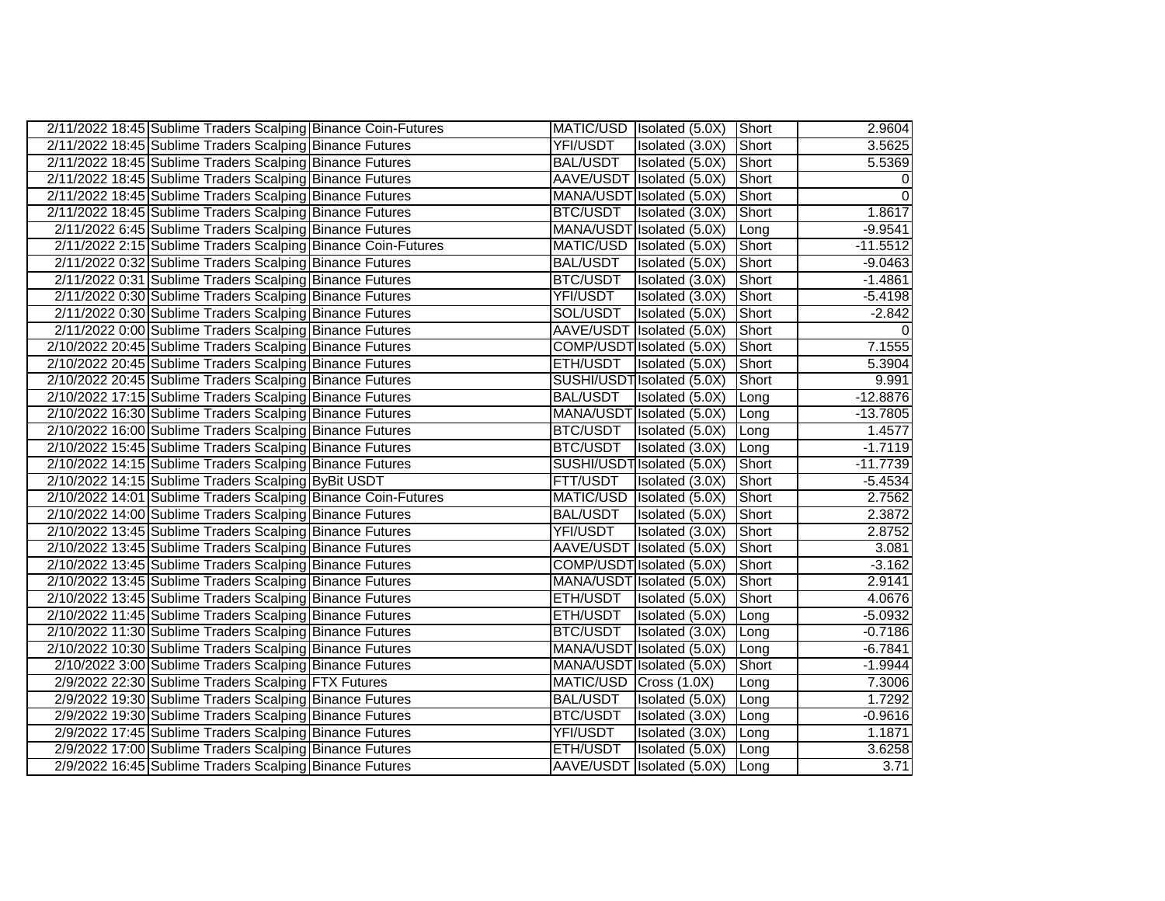| 2/11/2022 18:45 Sublime Traders Scalping Binance Coin-Futures |                 | MATIC/USD Isolated (5.0X)      | Short        | 2.9604     |
|---------------------------------------------------------------|-----------------|--------------------------------|--------------|------------|
| 2/11/2022 18:45 Sublime Traders Scalping Binance Futures      | YFI/USDT        | Isolated (3.0X)                | Short        | 3.5625     |
| 2/11/2022 18:45 Sublime Traders Scalping Binance Futures      | <b>BAL/USDT</b> | Isolated (5.0X)                | Short        | 5.5369     |
| 2/11/2022 18:45 Sublime Traders Scalping Binance Futures      |                 | AAVE/USDT Isolated (5.0X)      | Short        | 0          |
| 2/11/2022 18:45 Sublime Traders Scalping Binance Futures      |                 | MANA/USDT Isolated (5.0X)      | Short        | $\Omega$   |
| 2/11/2022 18:45 Sublime Traders Scalping Binance Futures      | <b>BTC/USDT</b> | Isolated (3.0X)                | Short        | 1.8617     |
| 2/11/2022 6:45 Sublime Traders Scalping Binance Futures       |                 | MANA/USDT Isolated (5.0X)      | Long         | $-9.9541$  |
| 2/11/2022 2:15 Sublime Traders Scalping Binance Coin-Futures  |                 | MATIC/USD   Isolated (5.0X)    | Short        | $-11.5512$ |
| 2/11/2022 0:32 Sublime Traders Scalping Binance Futures       | <b>BAL/USDT</b> | Isolated (5.0X)                | Short        | $-9.0463$  |
| 2/11/2022 0:31 Sublime Traders Scalping Binance Futures       | <b>BTC/USDT</b> | Isolated (3.0X)                | Short        | $-1.4861$  |
| 2/11/2022 0:30 Sublime Traders Scalping Binance Futures       | YFI/USDT        | Isolated (3.0X)                | Short        | $-5.4198$  |
| 2/11/2022 0:30 Sublime Traders Scalping Binance Futures       | SOL/USDT        | Isolated (5.0X)                | Short        | $-2.842$   |
| 2/11/2022 0:00 Sublime Traders Scalping Binance Futures       |                 | AAVE/USDT Isolated (5.0X)      | Short        |            |
| 2/10/2022 20:45 Sublime Traders Scalping Binance Futures      |                 | COMP/USDT Isolated (5.0X)      | Short        | 7.1555     |
| 2/10/2022 20:45 Sublime Traders Scalping Binance Futures      | <b>ETH/USDT</b> | Isolated (5.0X)                | Short        | 5.3904     |
| 2/10/2022 20:45 Sublime Traders Scalping Binance Futures      |                 | SUSHI/USDT Isolated (5.0X)     | Short        | 9.991      |
| 2/10/2022 17:15 Sublime Traders Scalping Binance Futures      | <b>BAL/USDT</b> | Isolated (5.0X)                | Long         | $-12.8876$ |
| 2/10/2022 16:30 Sublime Traders Scalping Binance Futures      |                 | MANA/USDT Isolated (5.0X)      | Long         | $-13.7805$ |
| 2/10/2022 16:00 Sublime Traders Scalping Binance Futures      |                 | BTC/USDT   Isolated (5.0X)     | <b>Long</b>  | 1.4577     |
| 2/10/2022 15:45 Sublime Traders Scalping Binance Futures      | <b>BTC/USDT</b> | Isolated (3.0X)                | Long         | $-1.7119$  |
| 2/10/2022 14:15 Sublime Traders Scalping Binance Futures      |                 | SUSHI/USDT Isolated (5.0X)     | Short        | $-11.7739$ |
| 2/10/2022 14:15 Sublime Traders Scalping ByBit USDT           | <b>FTT/USDT</b> | Isolated (3.0X)                | <b>Short</b> | $-5.4534$  |
| 2/10/2022 14:01 Sublime Traders Scalping Binance Coin-Futures | MATIC/USD       | Isolated (5.0X)                | Short        | 2.7562     |
| 2/10/2022 14:00 Sublime Traders Scalping Binance Futures      | <b>BAL/USDT</b> | Isolated (5.0X)                | Short        | 2.3872     |
| 2/10/2022 13:45 Sublime Traders Scalping Binance Futures      | YFI/USDT        | Isolated (3.0X)                | Short        | 2.8752     |
| 2/10/2022 13:45 Sublime Traders Scalping Binance Futures      |                 | AAVE/USDT Isolated (5.0X)      | Short        | 3.081      |
| 2/10/2022 13:45 Sublime Traders Scalping Binance Futures      |                 | COMP/USDT Isolated (5.0X)      | Short        | $-3.162$   |
| 2/10/2022 13:45 Sublime Traders Scalping Binance Futures      |                 | MANA/USDT Isolated (5.0X)      | Short        | 2.9141     |
| 2/10/2022 13:45 Sublime Traders Scalping Binance Futures      | <b>ETH/USDT</b> | Isolated (5.0X)                | Short        | 4.0676     |
| 2/10/2022 11:45 Sublime Traders Scalping Binance Futures      | ETH/USDT        | Isolated (5.0X)                | Long         | $-5.0932$  |
| 2/10/2022 11:30 Sublime Traders Scalping Binance Futures      | <b>BTC/USDT</b> | Isolated (3.0X)                | Long         | $-0.7186$  |
| 2/10/2022 10:30 Sublime Traders Scalping Binance Futures      |                 | MANA/USDT Isolated (5.0X)      | <b>Long</b>  | $-6.7841$  |
| 2/10/2022 3:00 Sublime Traders Scalping Binance Futures       |                 | MANA/USDT Isolated (5.0X)      | Short        | $-1.9944$  |
| 2/9/2022 22:30 Sublime Traders Scalping FTX Futures           | MATIC/USD       | Cross(1.0X)                    | Long         | 7.3006     |
| 2/9/2022 19:30 Sublime Traders Scalping Binance Futures       | <b>BAL/USDT</b> | Isolated (5.0X)                | <b>ILong</b> | 1.7292     |
| 2/9/2022 19:30 Sublime Traders Scalping Binance Futures       | <b>BTC/USDT</b> | Isolated (3.0X)                | Long         | $-0.9616$  |
| 2/9/2022 17:45 Sublime Traders Scalping Binance Futures       | YFI/USDT        | Isolated (3.0X)                | Long         | 1.1871     |
| 2/9/2022 17:00 Sublime Traders Scalping Binance Futures       | ETH/USDT        | Isolated (5.0X)                | Long         | 3.6258     |
| 2/9/2022 16:45 Sublime Traders Scalping Binance Futures       |                 | AAVE/USDT Isolated (5.0X) Long |              | 3.71       |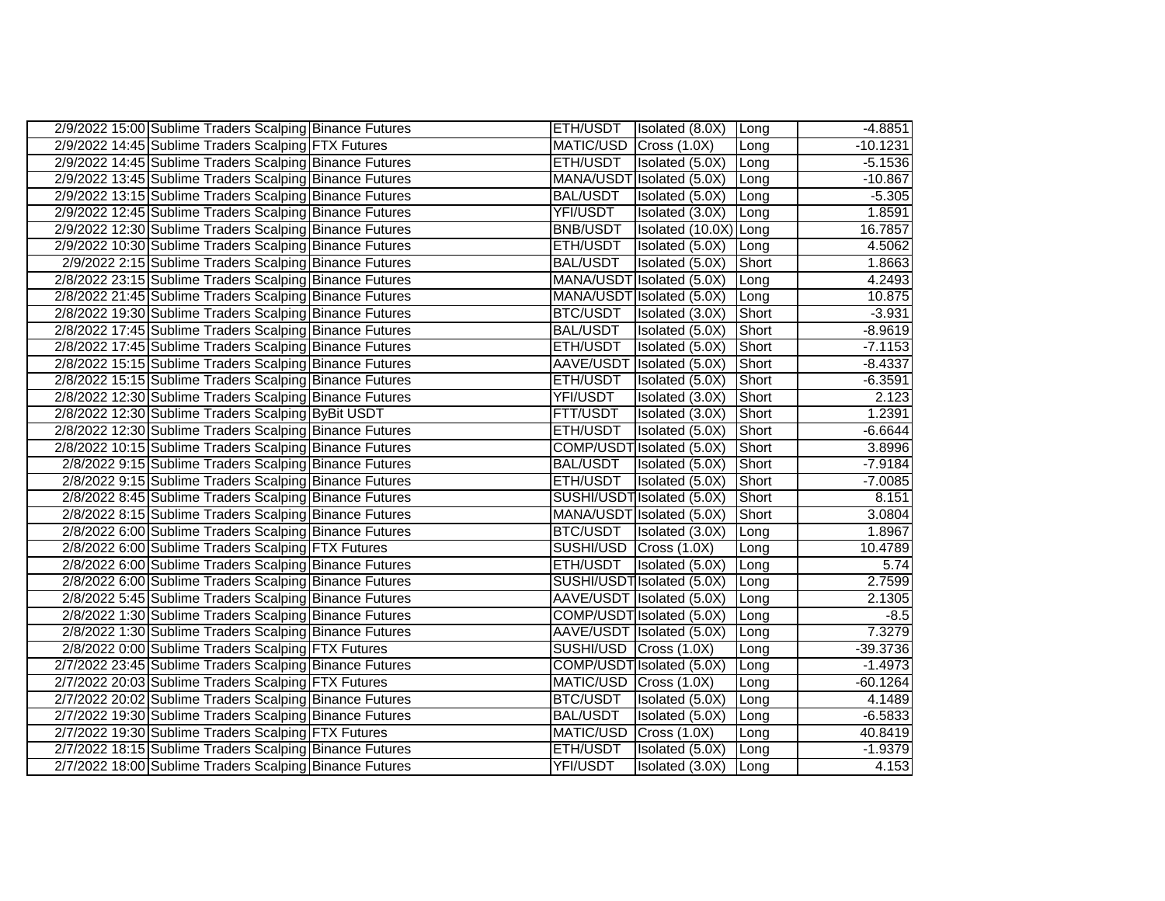| 2/9/2022 15:00 Sublime Traders Scalping Binance Futures | ETH/USDT               | Isolated (8.0X)            | <b>Long</b>   | $-4.8851$  |
|---------------------------------------------------------|------------------------|----------------------------|---------------|------------|
| 2/9/2022 14:45 Sublime Traders Scalping FTX Futures     | MATIC/USD Cross (1.0X) |                            | Long          | $-10.1231$ |
| 2/9/2022 14:45 Sublime Traders Scalping Binance Futures | ETH/USDT               | Isolated (5.0X)            | Long          | $-5.1536$  |
| 2/9/2022 13:45 Sublime Traders Scalping Binance Futures |                        | MANA/USDT Isolated (5.0X)  | <b>ILong</b>  | $-10.867$  |
| 2/9/2022 13:15 Sublime Traders Scalping Binance Futures | <b>BAL/USDT</b>        | Isolated (5.0X)            | Long          | $-5.305$   |
| 2/9/2022 12:45 Sublime Traders Scalping Binance Futures | YFI/USDT               | Isolated (3.0X)            | Long          | 1.8591     |
| 2/9/2022 12:30 Sublime Traders Scalping Binance Futures | BNB/USDT               | Isolated (10.0X) Long      |               | 16.7857    |
| 2/9/2022 10:30 Sublime Traders Scalping Binance Futures | ETH/USDT               | Isolated (5.0X) Long       |               | 4.5062     |
| 2/9/2022 2:15 Sublime Traders Scalping Binance Futures  | <b>BAL/USDT</b>        | Isolated (5.0X)            | <b>Short</b>  | 1.8663     |
| 2/8/2022 23:15 Sublime Traders Scalping Binance Futures |                        | MANA/USDT Isolated (5.0X)  | Long          | 4.2493     |
| 2/8/2022 21:45 Sublime Traders Scalping Binance Futures |                        | MANA/USDT Isolated (5.0X)  | <b>ILong</b>  | 10.875     |
| 2/8/2022 19:30 Sublime Traders Scalping Binance Futures | BTC/USDT               | Isolated (3.0X)            | <b>Short</b>  | $-3.931$   |
| 2/8/2022 17:45 Sublime Traders Scalping Binance Futures | <b>BAL/USDT</b>        | Isolated (5.0X)            | <b>TShort</b> | $-8.9619$  |
| 2/8/2022 17:45 Sublime Traders Scalping Binance Futures | ETH/USDT               | Isolated (5.0X)            | Short         | $-7.1153$  |
| 2/8/2022 15:15 Sublime Traders Scalping Binance Futures |                        | AAVE/USDT Isolated (5.0X)  | Short         | $-8.4337$  |
| 2/8/2022 15:15 Sublime Traders Scalping Binance Futures | ETH/USDT               | Isolated (5.0X)            | Short         | $-6.3591$  |
| 2/8/2022 12:30 Sublime Traders Scalping Binance Futures | YFI/USDT               | Isolated (3.0X)            | Short         | 2.123      |
| 2/8/2022 12:30 Sublime Traders Scalping ByBit USDT      | FTT/USDT               | Isolated (3.0X)            | Short         | 1.2391     |
| 2/8/2022 12:30 Sublime Traders Scalping Binance Futures | ETH/USDT               | Isolated (5.0X)            | Short         | $-6.6644$  |
| 2/8/2022 10:15 Sublime Traders Scalping Binance Futures |                        | COMP/USDT Isolated (5.0X)  | Short         | 3.8996     |
| 2/8/2022 9:15 Sublime Traders Scalping Binance Futures  | <b>BAL/USDT</b>        | Isolated (5.0X)            | Short         | $-7.9184$  |
| 2/8/2022 9:15 Sublime Traders Scalping Binance Futures  | ETH/USDT               | Isolated (5.0X)            | Short         | $-7.0085$  |
| 2/8/2022 8:45 Sublime Traders Scalping Binance Futures  |                        | SUSHI/USDT Isolated (5.0X) | Short         | 8.151      |
| 2/8/2022 8:15 Sublime Traders Scalping Binance Futures  |                        | MANA/USDT Isolated (5.0X)  | Short         | 3.0804     |
| 2/8/2022 6:00 Sublime Traders Scalping Binance Futures  |                        | BTC/USDT   Isolated (3.0X) | Long          | 1.8967     |
| 2/8/2022 6:00 Sublime Traders Scalping FTX Futures      | SUSHI/USD Cross (1.0X) |                            | Long          | 10.4789    |
| 2/8/2022 6:00 Sublime Traders Scalping Binance Futures  | ETH/USDT               | Isolated (5.0X)            | Long          | 5.74       |
| 2/8/2022 6:00 Sublime Traders Scalping Binance Futures  |                        | SUSHI/USDT Isolated (5.0X) | Long          | 2.7599     |
| 2/8/2022 5:45 Sublime Traders Scalping Binance Futures  |                        | AAVE/USDT Isolated (5.0X)  | Long          | 2.1305     |
| 2/8/2022 1:30 Sublime Traders Scalping Binance Futures  |                        | COMP/USDT Isolated (5.0X)  | Long          | $-8.5$     |
| 2/8/2022 1:30 Sublime Traders Scalping Binance Futures  |                        | AAVE/USDT Isolated (5.0X)  | Long          | 7.3279     |
| 2/8/2022 0:00 Sublime Traders Scalping FTX Futures      | SUSHI/USD Cross (1.0X) |                            | Long          | -39.3736   |
| 2/7/2022 23:45 Sublime Traders Scalping Binance Futures |                        | COMP/USDT Isolated (5.0X)  | Long          | $-1.4973$  |
| 2/7/2022 20:03 Sublime Traders Scalping FTX Futures     | MATIC/USD Cross (1.0X) |                            | Long          | $-60.1264$ |
| 2/7/2022 20:02 Sublime Traders Scalping Binance Futures | BTC/USDT               | Isolated (5.0X)            | Long          | 4.1489     |
| 2/7/2022 19:30 Sublime Traders Scalping Binance Futures | <b>BAL/USDT</b>        | Isolated (5.0X)            | Long          | $-6.5833$  |
| 2/7/2022 19:30 Sublime Traders Scalping FTX Futures     | MATIC/USD Cross (1.0X) |                            | Long          | 40.8419    |
| 2/7/2022 18:15 Sublime Traders Scalping Binance Futures | ETH/USDT               | Isolated (5.0X)            | Long          | $-1.9379$  |
| 2/7/2022 18:00 Sublime Traders Scalping Binance Futures | YFI/USDT               | Isolated (3.0X) Long       |               | 4.153      |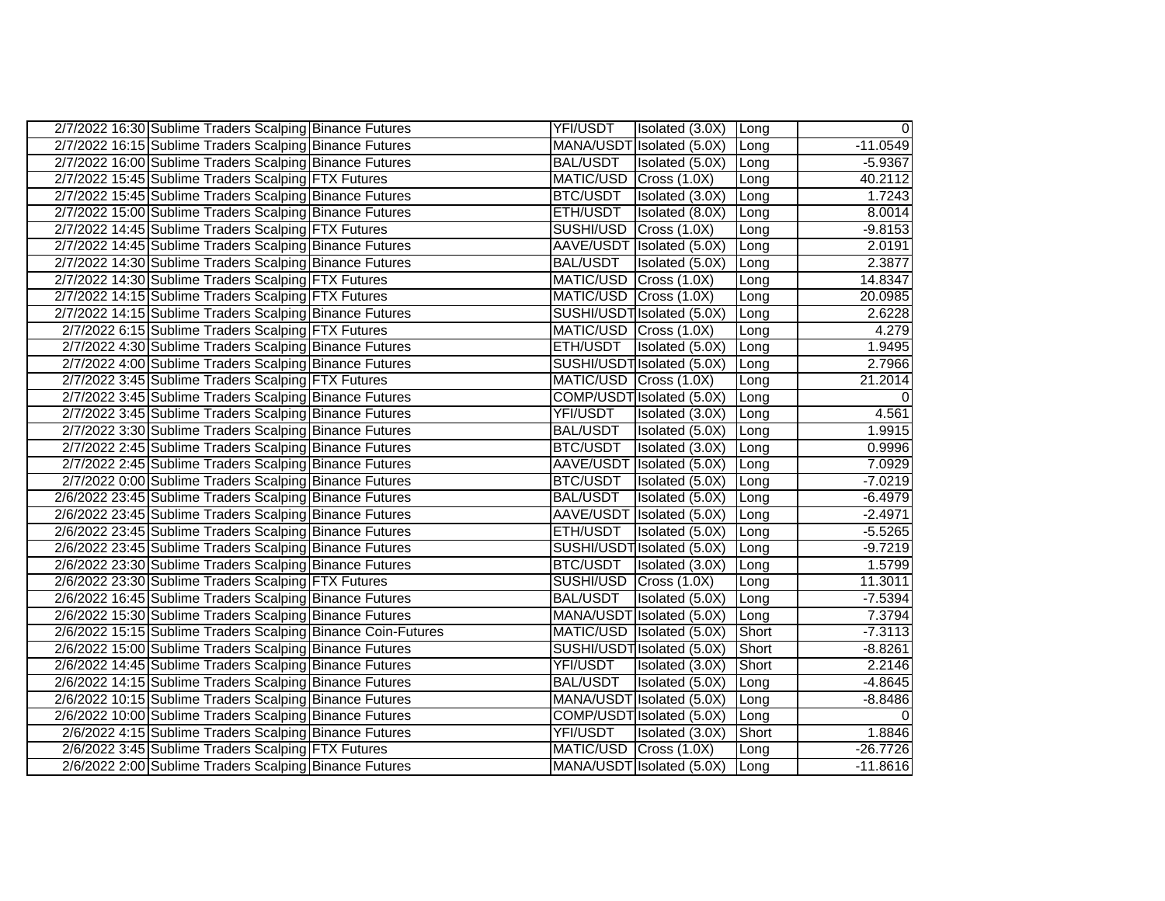| 2/7/2022 16:30 Sublime Traders Scalping Binance Futures      | YFI/USDT               | Isolated (3.0X) Long       |                | $\overline{0}$ |
|--------------------------------------------------------------|------------------------|----------------------------|----------------|----------------|
| 2/7/2022 16:15 Sublime Traders Scalping Binance Futures      |                        | MANA/USDT Isolated (5.0X)  | Long           | $-11.0549$     |
| 2/7/2022 16:00 Sublime Traders Scalping Binance Futures      | <b>BAL/USDT</b>        | Isolated (5.0X)            | Long           | $-5.9367$      |
| 2/7/2022 15:45 Sublime Traders Scalping FTX Futures          | MATIC/USD Cross (1.0X) |                            | Long           | 40.2112        |
| 2/7/2022 15:45 Sublime Traders Scalping Binance Futures      | BTC/USDT               | Isolated (3.0X)            | Long           | 1.7243         |
| 2/7/2022 15:00 Sublime Traders Scalping Binance Futures      | ETH/USDT               | Isolated (8.0X)            | Long           | 8.0014         |
| 2/7/2022 14:45 Sublime Traders Scalping FTX Futures          | SUSHI/USD Cross (1.0X) |                            | Long           | $-9.8153$      |
| 2/7/2022 14:45 Sublime Traders Scalping Binance Futures      |                        | AAVE/USDT Isolated (5.0X)  | Long           | 2.0191         |
| 2/7/2022 14:30 Sublime Traders Scalping Binance Futures      | <b>BAL/USDT</b>        | Isolated (5.0X)            | Long           | 2.3877         |
| 2/7/2022 14:30 Sublime Traders Scalping FTX Futures          | MATIC/USD Cross (1.0X) |                            | Long           | 14.8347        |
| 2/7/2022 14:15 Sublime Traders Scalping FTX Futures          | MATIC/USD Cross (1.0X) |                            | Long           | 20.0985        |
| 2/7/2022 14:15 Sublime Traders Scalping Binance Futures      |                        | SUSHI/USDT Isolated (5.0X) | Long           | 2.6228         |
| 2/7/2022 6:15 Sublime Traders Scalping FTX Futures           | MATIC/USD Cross (1.0X) |                            | Long           | 4.279          |
| 2/7/2022 4:30 Sublime Traders Scalping Binance Futures       |                        | ETH/USDT   Isolated (5.0X) | Long           | 1.9495         |
| 2/7/2022 4:00 Sublime Traders Scalping Binance Futures       |                        | SUSHI/USDT Isolated (5.0X) | Long           | 2.7966         |
| 2/7/2022 3:45 Sublime Traders Scalping FTX Futures           | MATIC/USD Cross (1.0X) |                            | Long           | 21.2014        |
| 2/7/2022 3:45 Sublime Traders Scalping Binance Futures       |                        | COMP/USDT Isolated (5.0X)  | Long           | 0              |
| 2/7/2022 3:45 Sublime Traders Scalping Binance Futures       | YFI/USDT               | Isolated (3.0X)            | <b>ILong</b>   | 4.561          |
| 2/7/2022 3:30 Sublime Traders Scalping Binance Futures       | BAL/USDT               | Isolated (5.0X)            | Long           | 1.9915         |
| 2/7/2022 2:45 Sublime Traders Scalping Binance Futures       | BTC/USDT               | Isolated (3.0X)            | ILong          | 0.9996         |
| 2/7/2022 2:45 Sublime Traders Scalping Binance Futures       |                        | AAVE/USDT Isolated (5.0X)  | Long           | 7.0929         |
| 2/7/2022 0:00 Sublime Traders Scalping Binance Futures       | BTC/USDT               | Isolated (5.0X)            | <b>ILong</b>   | $-7.0219$      |
| 2/6/2022 23:45 Sublime Traders Scalping Binance Futures      | BAL/USDT               | Isolated (5.0X)            | Long           | $-6.4979$      |
| 2/6/2022 23:45 Sublime Traders Scalping Binance Futures      |                        | AAVE/USDT Isolated (5.0X)  | Long           | $-2.4971$      |
| 2/6/2022 23:45 Sublime Traders Scalping Binance Futures      | ETH/USDT               | Isolated (5.0X)            | Long           | $-5.5265$      |
| 2/6/2022 23:45 Sublime Traders Scalping Binance Futures      |                        | SUSHI/USDT Isolated (5.0X) | Long           | $-9.7219$      |
| 2/6/2022 23:30 Sublime Traders Scalping Binance Futures      | BTC/USDT               | Isolated (3.0X)            | Long           | 1.5799         |
| 2/6/2022 23:30 Sublime Traders Scalping FTX Futures          |                        | SUSHI/USD Cross (1.0X)     | Long           | 11.3011        |
| 2/6/2022 16:45 Sublime Traders Scalping Binance Futures      | <b>BAL/USDT</b>        | Isolated (5.0X)            | Long           | $-7.5394$      |
| 2/6/2022 15:30 Sublime Traders Scalping Binance Futures      |                        | MANA/USDT Isolated (5.0X)  | Long           | 7.3794         |
| 2/6/2022 15:15 Sublime Traders Scalping Binance Coin-Futures |                        | MATIC/USD Isolated (5.0X)  | <b>I</b> Short | $-7.3113$      |
| 2/6/2022 15:00 Sublime Traders Scalping Binance Futures      |                        | SUSHI/USDT Isolated (5.0X) | Short          | $-8.8261$      |
| 2/6/2022 14:45 Sublime Traders Scalping Binance Futures      | YFI/USDT               | Isolated (3.0X)            | Short          | 2.2146         |
| 2/6/2022 14:15 Sublime Traders Scalping Binance Futures      | BAL/USDT               | Isolated (5.0X)            | Long           | $-4.8645$      |
| 2/6/2022 10:15 Sublime Traders Scalping Binance Futures      |                        | MANA/USDT Isolated (5.0X)  | Long           | $-8.8486$      |
| 2/6/2022 10:00 Sublime Traders Scalping Binance Futures      |                        | COMP/USDT Isolated (5.0X)  | Long           | $\Omega$       |
| 2/6/2022 4:15 Sublime Traders Scalping Binance Futures       | YFI/USDT               | Isolated (3.0X)            | Short          | 1.8846         |
| 2/6/2022 3:45 Sublime Traders Scalping FTX Futures           |                        | MATIC/USD Cross (1.0X)     | Long           | $-26.7726$     |
| 2/6/2022 2:00 Sublime Traders Scalping Binance Futures       |                        | MANA/USDT Isolated (5.0X)  | Long           | $-11.8616$     |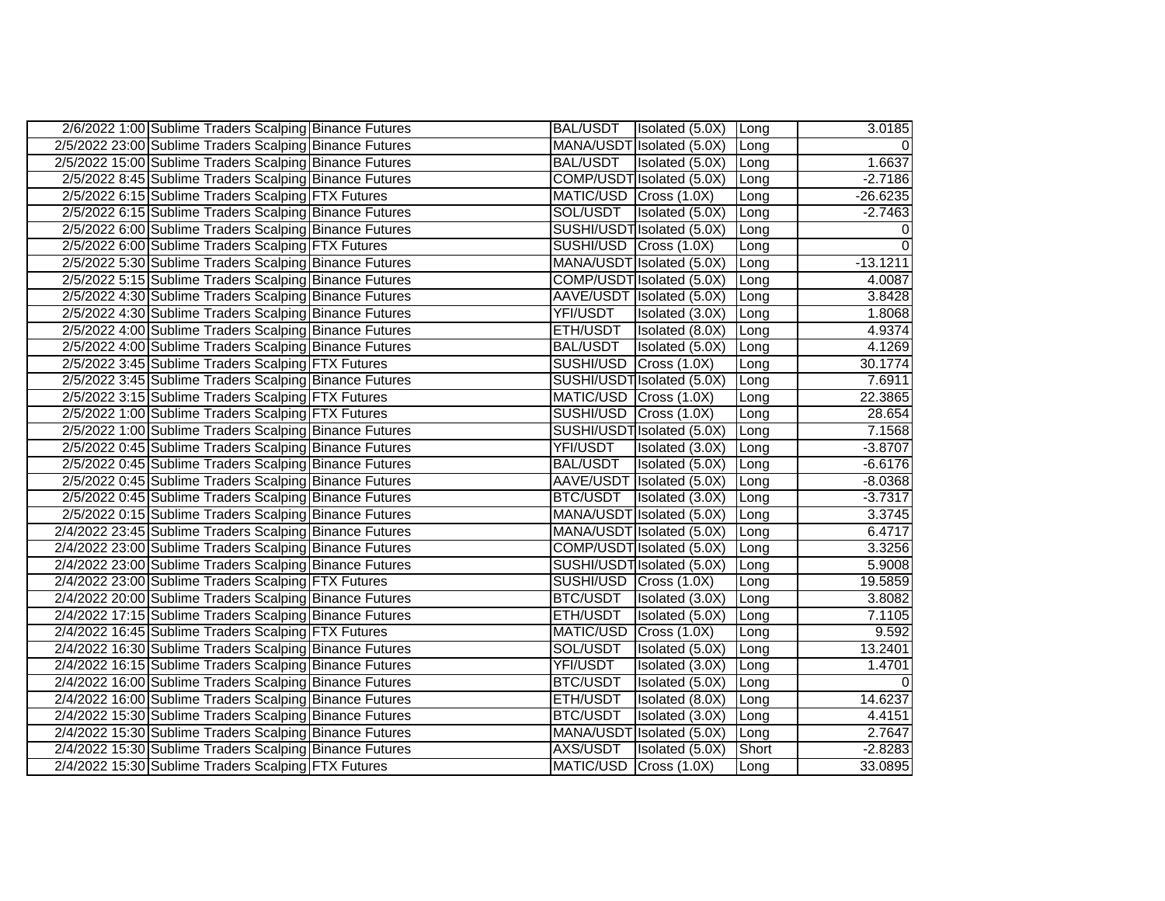| 2/6/2022 1:00 Sublime Traders Scalping Binance Futures  |                        | BAL/USDT   Isolated (5.0X)   Long |              | 3.0185     |
|---------------------------------------------------------|------------------------|-----------------------------------|--------------|------------|
| 2/5/2022 23:00 Sublime Traders Scalping Binance Futures |                        | MANA/USDT Isolated (5.0X)         | Long         | - Ol       |
| 2/5/2022 15:00 Sublime Traders Scalping Binance Futures |                        | BAL/USDT Isolated (5.0X)          | <b>ILong</b> | 1.6637     |
| 2/5/2022 8:45 Sublime Traders Scalping Binance Futures  |                        | COMP/USDT Isolated (5.0X)         | Long         | $-2.7186$  |
| 2/5/2022 6:15 Sublime Traders Scalping FTX Futures      | MATIC/USD Cross (1.0X) |                                   | Long         | $-26.6235$ |
| 2/5/2022 6:15 Sublime Traders Scalping Binance Futures  |                        | SOL/USDT   Isolated (5.0X)        | Long         | $-2.7463$  |
| 2/5/2022 6:00 Sublime Traders Scalping Binance Futures  |                        | SUSHI/USDT Isolated (5.0X)        | Long         | 0          |
| 2/5/2022 6:00 Sublime Traders Scalping FTX Futures      | SUSHI/USD Cross (1.0X) |                                   | Long         |            |
| 2/5/2022 5:30 Sublime Traders Scalping Binance Futures  |                        | MANA/USDT Isolated (5.0X)         | ILong        | $-13.1211$ |
| 2/5/2022 5:15 Sublime Traders Scalping Binance Futures  |                        | COMP/USDT Isolated (5.0X)         | Long         | 4.0087     |
| 2/5/2022 4:30 Sublime Traders Scalping Binance Futures  |                        | AAVE/USDT Isolated (5.0X)         | Long         | 3.8428     |
| 2/5/2022 4:30 Sublime Traders Scalping Binance Futures  | YFI/USDT               | Isolated (3.0X)                   | Long         | 1.8068     |
| 2/5/2022 4:00 Sublime Traders Scalping Binance Futures  | ETH/USDT               | Isolated (8.0X)                   | Long         | 4.9374     |
| 2/5/2022 4:00 Sublime Traders Scalping Binance Futures  | <b>BAL/USDT</b>        | Isolated (5.0X)                   | Long         | 4.1269     |
| 2/5/2022 3:45 Sublime Traders Scalping FTX Futures      | SUSHI/USD Cross (1.0X) |                                   | Long         | 30.1774    |
| 2/5/2022 3:45 Sublime Traders Scalping Binance Futures  |                        | SUSHI/USDT Isolated (5.0X)        | Long         | 7.6911     |
| 2/5/2022 3:15 Sublime Traders Scalping FTX Futures      | MATIC/USD Cross (1.0X) |                                   | Long         | 22.3865    |
| 2/5/2022 1:00 Sublime Traders Scalping FTX Futures      | SUSHI/USD Cross (1.0X) |                                   | Long         | 28.654     |
| 2/5/2022 1:00 Sublime Traders Scalping Binance Futures  |                        | SUSHI/USDT Isolated (5.0X)        | Long         | 7.1568     |
| 2/5/2022 0:45 Sublime Traders Scalping Binance Futures  | YFI/USDT               | Isolated (3.0X)                   | Long         | $-3.8707$  |
| 2/5/2022 0:45 Sublime Traders Scalping Binance Futures  | <b>BAL/USDT</b>        | Isolated (5.0X)                   | Long         | $-6.6176$  |
| 2/5/2022 0:45 Sublime Traders Scalping Binance Futures  |                        | AAVE/USDT Isolated (5.0X)         | <b>ILong</b> | $-8.0368$  |
| 2/5/2022 0:45 Sublime Traders Scalping Binance Futures  | BTC/USDT               | Isolated (3.0X)                   | Long         | $-3.7317$  |
| 2/5/2022 0:15 Sublime Traders Scalping Binance Futures  |                        | MANA/USDT Isolated (5.0X)         | Long         | 3.3745     |
| 2/4/2022 23:45 Sublime Traders Scalping Binance Futures |                        | MANA/USDT Isolated (5.0X)         | Long         | 6.4717     |
| 2/4/2022 23:00 Sublime Traders Scalping Binance Futures |                        | COMP/USDT Isolated (5.0X)         | Long         | 3.3256     |
| 2/4/2022 23:00 Sublime Traders Scalping Binance Futures |                        | SUSHI/USDT Isolated (5.0X)        | Long         | 5.9008     |
| 2/4/2022 23:00 Sublime Traders Scalping FTX Futures     | SUSHI/USD Cross (1.0X) |                                   | Long         | 19.5859    |
| 2/4/2022 20:00 Sublime Traders Scalping Binance Futures | BTC/USDT               | Isolated (3.0X)                   | Long         | 3.8082     |
| 2/4/2022 17:15 Sublime Traders Scalping Binance Futures | ETH/USDT               | Isolated (5.0X)                   | Long         | 7.1105     |
| 2/4/2022 16:45 Sublime Traders Scalping FTX Futures     | MATIC/USD Cross (1.0X) |                                   | Long         | 9.592      |
| 2/4/2022 16:30 Sublime Traders Scalping Binance Futures | SOL/USDT               | Isolated (5.0X)                   | ILong        | 13.2401    |
| 2/4/2022 16:15 Sublime Traders Scalping Binance Futures | YFI/USDT               | Isolated (3.0X)                   | Long         | 1.4701     |
| 2/4/2022 16:00 Sublime Traders Scalping Binance Futures | BTC/USDT               | Isolated (5.0X)                   | Long         |            |
| 2/4/2022 16:00 Sublime Traders Scalping Binance Futures | ETH/USDT               | Isolated (8.0X)                   | Long         | 14.6237    |
| 2/4/2022 15:30 Sublime Traders Scalping Binance Futures | BTC/USDT               | Isolated (3.0X)                   | Long         | 4.4151     |
| 2/4/2022 15:30 Sublime Traders Scalping Binance Futures |                        | MANA/USDT Isolated (5.0X)         | Long         | 2.7647     |
| 2/4/2022 15:30 Sublime Traders Scalping Binance Futures | AXS/USDT               | Isolated (5.0X)                   | Short        | $-2.8283$  |
| 2/4/2022 15:30 Sublime Traders Scalping FTX Futures     | MATIC/USD Cross (1.0X) |                                   | Long         | 33.0895    |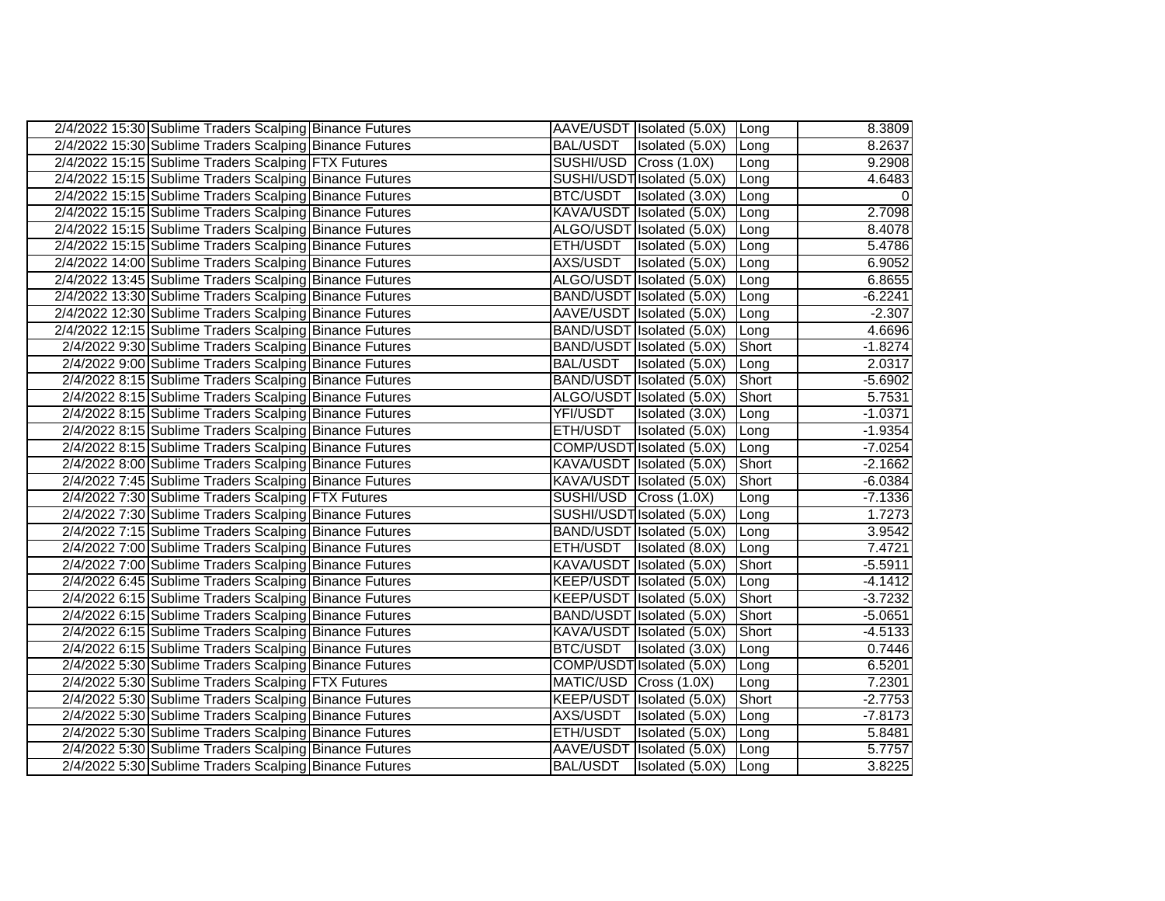| 2/4/2022 15:30 Sublime Traders Scalping Binance Futures |                        | AAVE/USDT Isolated (5.0X) Long |               | 8.3809    |
|---------------------------------------------------------|------------------------|--------------------------------|---------------|-----------|
| 2/4/2022 15:30 Sublime Traders Scalping Binance Futures | <b>BAL/USDT</b>        | Isolated (5.0X)                | <b>Long</b>   | 8.2637    |
| 2/4/2022 15:15 Sublime Traders Scalping FTX Futures     | SUSHI/USD Cross (1.0X) |                                | Long          | 9.2908    |
| 2/4/2022 15:15 Sublime Traders Scalping Binance Futures |                        | SUSHI/USDT Isolated (5.0X)     | Long          | 4.6483    |
| 2/4/2022 15:15 Sublime Traders Scalping Binance Futures | <b>BTC/USDT</b>        | Isolated (3.0X)                | <b>ILong</b>  | $\Omega$  |
| 2/4/2022 15:15 Sublime Traders Scalping Binance Futures |                        | KAVA/USDT Isolated (5.0X)      | Long          | 2.7098    |
| 2/4/2022 15:15 Sublime Traders Scalping Binance Futures |                        | ALGO/USDT Isolated (5.0X)      | Long          | 8.4078    |
| 2/4/2022 15:15 Sublime Traders Scalping Binance Futures | ETH/USDT               | Isolated (5.0X)                | Long          | 5.4786    |
| 2/4/2022 14:00 Sublime Traders Scalping Binance Futures | AXS/USDT               | Isolated (5.0X)                | <b>Long</b>   | 6.9052    |
| 2/4/2022 13:45 Sublime Traders Scalping Binance Futures |                        | ALGO/USDT Isolated (5.0X)      | <b>ILong</b>  | 6.8655    |
| 2/4/2022 13:30 Sublime Traders Scalping Binance Futures |                        | BAND/USDT Isolated (5.0X)      | <b>ILong</b>  | $-6.2241$ |
| 2/4/2022 12:30 Sublime Traders Scalping Binance Futures |                        | AAVE/USDT Isolated (5.0X)      | Long          | $-2.307$  |
| 2/4/2022 12:15 Sublime Traders Scalping Binance Futures |                        | BAND/USDT Isolated (5.0X)      | <b>Long</b>   | 4.6696    |
| 2/4/2022 9:30 Sublime Traders Scalping Binance Futures  |                        | BAND/USDT Isolated (5.0X)      | Short         | $-1.8274$ |
| 2/4/2022 9:00 Sublime Traders Scalping Binance Futures  | <b>BAL/USDT</b>        | Isolated (5.0X)                | <b>ILong</b>  | 2.0317    |
| 2/4/2022 8:15 Sublime Traders Scalping Binance Futures  |                        | BAND/USDT Isolated (5.0X)      | Short         | $-5.6902$ |
| 2/4/2022 8:15 Sublime Traders Scalping Binance Futures  |                        | ALGO/USDT Isolated (5.0X)      | Short         | 5.7531    |
| 2/4/2022 8:15 Sublime Traders Scalping Binance Futures  | YFI/USDT               | Isolated (3.0X)                | ILong         | $-1.0371$ |
| 2/4/2022 8:15 Sublime Traders Scalping Binance Futures  | ETH/USDT               | Isolated (5.0X)                | Long          | $-1.9354$ |
| 2/4/2022 8:15 Sublime Traders Scalping Binance Futures  |                        | COMP/USDT Isolated (5.0X)      | <b>ILong</b>  | $-7.0254$ |
| 2/4/2022 8:00 Sublime Traders Scalping Binance Futures  |                        | KAVA/USDT Isolated (5.0X)      | <b>Short</b>  | $-2.1662$ |
| 2/4/2022 7:45 Sublime Traders Scalping Binance Futures  |                        | KAVA/USDT Isolated (5.0X)      | <b>Short</b>  | $-6.0384$ |
| 2/4/2022 7:30 Sublime Traders Scalping FTX Futures      | SUSHI/USD Cross (1.0X) |                                | Long          | $-7.1336$ |
| 2/4/2022 7:30 Sublime Traders Scalping Binance Futures  |                        | SUSHI/USDT Isolated (5.0X)     | Long          | 1.7273    |
| 2/4/2022 7:15 Sublime Traders Scalping Binance Futures  |                        | BAND/USDT Isolated (5.0X)      | Long          | 3.9542    |
| 2/4/2022 7:00 Sublime Traders Scalping Binance Futures  | ETH/USDT               | Isolated (8.0X)                | <b>ILong</b>  | 7.4721    |
| 2/4/2022 7:00 Sublime Traders Scalping Binance Futures  |                        | KAVA/USDT Isolated (5.0X)      | Short         | $-5.5911$ |
| 2/4/2022 6:45 Sublime Traders Scalping Binance Futures  |                        | KEEP/USDT Isolated (5.0X)      | Long          | $-4.1412$ |
| 2/4/2022 6:15 Sublime Traders Scalping Binance Futures  |                        | KEEP/USDT Isolated (5.0X)      | Short         | $-3.7232$ |
| 2/4/2022 6:15 Sublime Traders Scalping Binance Futures  |                        | BAND/USDT Isolated (5.0X)      | Short         | $-5.0651$ |
| 2/4/2022 6:15 Sublime Traders Scalping Binance Futures  |                        | KAVA/USDT Isolated (5.0X)      | <b>TShort</b> | $-4.5133$ |
| 2/4/2022 6:15 Sublime Traders Scalping Binance Futures  | BTC/USDT               | Isolated (3.0X)                | Long          | 0.7446    |
| 2/4/2022 5:30 Sublime Traders Scalping Binance Futures  |                        | COMP/USDT Isolated (5.0X)      | ILong         | 6.5201    |
| 2/4/2022 5:30 Sublime Traders Scalping FTX Futures      | MATIC/USD Cross (1.0X) |                                | Long          | 7.2301    |
| 2/4/2022 5:30 Sublime Traders Scalping Binance Futures  |                        | KEEP/USDT   Isolated (5.0X)    | IShort        | $-2.7753$ |
| 2/4/2022 5:30 Sublime Traders Scalping Binance Futures  | AXS/USDT               | Isolated (5.0X)                | Long          | $-7.8173$ |
| 2/4/2022 5:30 Sublime Traders Scalping Binance Futures  | ETH/USDT               | Isolated (5.0X)                | Long          | 5.8481    |
| 2/4/2022 5:30 Sublime Traders Scalping Binance Futures  |                        | AAVE/USDT Isolated (5.0X)      | Long          | 5.7757    |
| 2/4/2022 5:30 Sublime Traders Scalping Binance Futures  | <b>BAL/USDT</b>        | Isolated (5.0X) Long           |               | 3.8225    |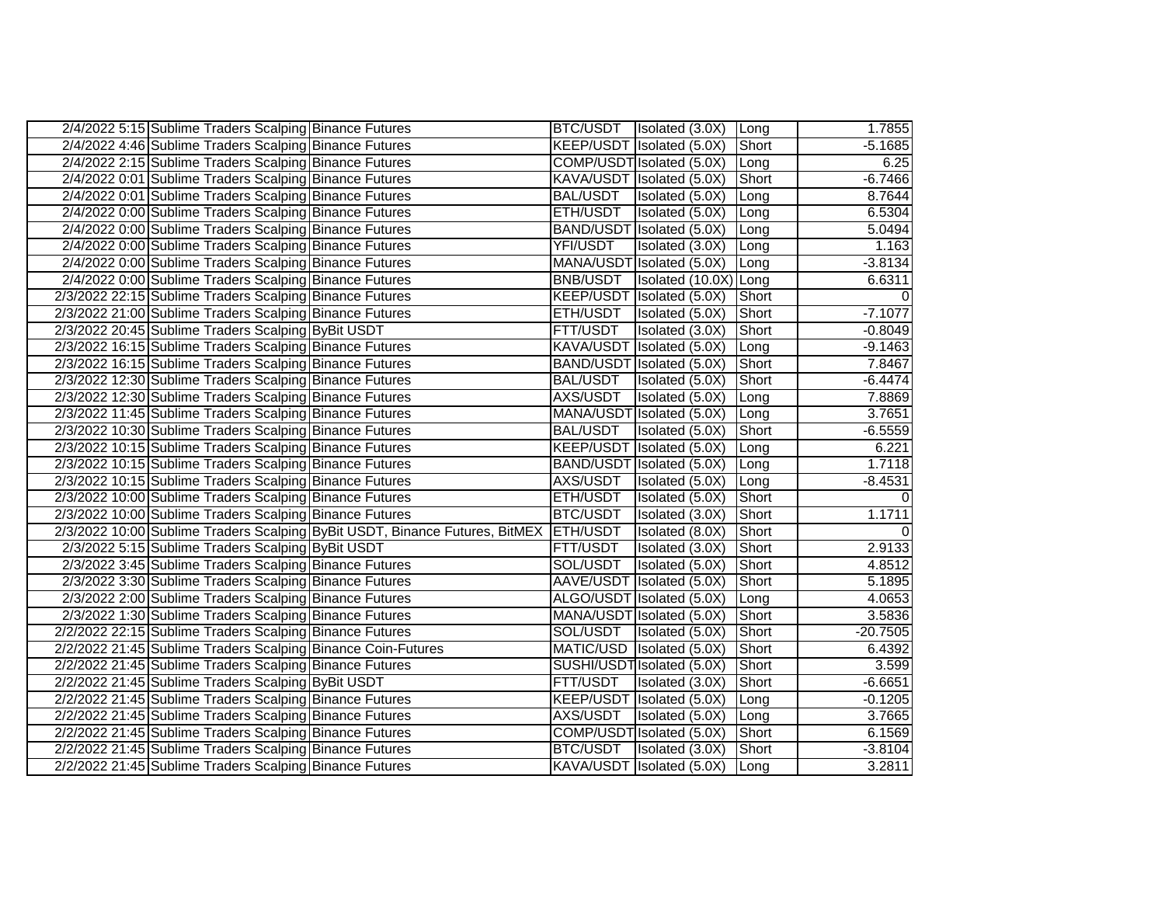| 2/4/2022 5:15 Sublime Traders Scalping Binance Futures                               |                 | BTC/USDT   Isolated (3.0X)   Long |               | 1.7855     |
|--------------------------------------------------------------------------------------|-----------------|-----------------------------------|---------------|------------|
| 2/4/2022 4:46 Sublime Traders Scalping Binance Futures                               |                 | KEEP/USDT Isolated (5.0X)         | Short         | $-5.1685$  |
| 2/4/2022 2:15 Sublime Traders Scalping Binance Futures                               |                 | COMP/USDT Isolated (5.0X)         | Long          | 6.25       |
| 2/4/2022 0:01 Sublime Traders Scalping Binance Futures                               |                 | KAVA/USDT Isolated (5.0X)         | Short         | $-6.7466$  |
| 2/4/2022 0:01 Sublime Traders Scalping Binance Futures                               | <b>BAL/USDT</b> | Isolated (5.0X)                   | Long          | 8.7644     |
| 2/4/2022 0:00 Sublime Traders Scalping Binance Futures                               | ETH/USDT        | Isolated (5.0X)                   | Long          | 6.5304     |
| 2/4/2022 0:00 Sublime Traders Scalping Binance Futures                               |                 | BAND/USDT Isolated (5.0X)         | Long          | 5.0494     |
| 2/4/2022 0:00 Sublime Traders Scalping Binance Futures                               | YFI/USDT        | Isolated (3.0X)                   | Long          | 1.163      |
| 2/4/2022 0:00 Sublime Traders Scalping Binance Futures                               |                 | MANA/USDT Isolated (5.0X)         | Long          | $-3.8134$  |
| 2/4/2022 0:00 Sublime Traders Scalping Binance Futures                               | <b>BNB/USDT</b> | Isolated (10.0X) Long             |               | 6.6311     |
| 2/3/2022 22:15 Sublime Traders Scalping Binance Futures                              |                 | KEEP/USDT Isolated (5.0X)         | Short         |            |
| 2/3/2022 21:00 Sublime Traders Scalping Binance Futures                              | ETH/USDT        | Isolated (5.0X)                   | Short         | $-7.1077$  |
| 2/3/2022 20:45 Sublime Traders Scalping ByBit USDT                                   | FTT/USDT        | Isolated (3.0X)                   | Short         | $-0.8049$  |
| 2/3/2022 16:15 Sublime Traders Scalping Binance Futures                              |                 | KAVA/USDT Isolated (5.0X)         | Long          | $-9.1463$  |
| 2/3/2022 16:15 Sublime Traders Scalping Binance Futures                              |                 | BAND/USDT Isolated (5.0X)         | Short         | 7.8467     |
| 2/3/2022 12:30 Sublime Traders Scalping Binance Futures                              | BAL/USDT        | Isolated (5.0X)                   | Short         | $-6.4474$  |
| 2/3/2022 12:30 Sublime Traders Scalping Binance Futures                              | AXS/USDT        | Isolated (5.0X)                   | Long          | 7.8869     |
| 2/3/2022 11:45 Sublime Traders Scalping Binance Futures                              |                 | MANA/USDT Isolated (5.0X)         | Long          | 3.7651     |
| 2/3/2022 10:30 Sublime Traders Scalping Binance Futures                              | <b>BAL/USDT</b> | Isolated (5.0X)                   | Short         | $-6.5559$  |
| 2/3/2022 10:15 Sublime Traders Scalping Binance Futures                              |                 | KEEP/USDT Isolated (5.0X)         | Long          | 6.221      |
| 2/3/2022 10:15 Sublime Traders Scalping Binance Futures                              |                 | BAND/USDT Isolated (5.0X)         | Long          | 1.7118     |
| 2/3/2022 10:15 Sublime Traders Scalping Binance Futures                              | AXS/USDT        | Isolated (5.0X)                   | Long          | $-8.4531$  |
| 2/3/2022 10:00 Sublime Traders Scalping Binance Futures                              | ETH/USDT        | Isolated (5.0X)                   | <b>Short</b>  |            |
| 2/3/2022 10:00 Sublime Traders Scalping Binance Futures                              | BTC/USDT        | Isolated (3.0X)                   | Short         | 1.1711     |
| 2/3/2022 10:00 Sublime Traders Scalping ByBit USDT, Binance Futures, BitMEX ETH/USDT |                 | Isolated (8.0X)                   | Short         |            |
| 2/3/2022 5:15 Sublime Traders Scalping ByBit USDT                                    | FTT/USDT        | Isolated (3.0X)                   | <b>Short</b>  | 2.9133     |
| 2/3/2022 3:45 Sublime Traders Scalping Binance Futures                               | SOL/USDT        | Isolated (5.0X)                   | Short         | 4.8512     |
| 2/3/2022 3:30 Sublime Traders Scalping Binance Futures                               |                 | AAVE/USDT Isolated (5.0X)         | Short         | 5.1895     |
| 2/3/2022 2:00 Sublime Traders Scalping Binance Futures                               |                 | ALGO/USDT Isolated (5.0X)         | Long          | 4.0653     |
| 2/3/2022 1:30 Sublime Traders Scalping Binance Futures                               |                 | MANA/USDT Isolated (5.0X)         | Short         | 3.5836     |
| 2/2/2022 22:15 Sublime Traders Scalping Binance Futures                              | SOL/USDT        | Isolated (5.0X)                   | <b>Short</b>  | $-20.7505$ |
| 2/2/2022 21:45 Sublime Traders Scalping Binance Coin-Futures                         |                 | MATIC/USD Isolated (5.0X)         | Short         | 6.4392     |
| 2/2/2022 21:45 Sublime Traders Scalping Binance Futures                              |                 | SUSHI/USDT Isolated (5.0X)        | Short         | 3.599      |
| 2/2/2022 21:45 Sublime Traders Scalping ByBit USDT                                   | FTT/USDT        | Isolated (3.0X)                   | Short         | $-6.6651$  |
| 2/2/2022 21:45 Sublime Traders Scalping Binance Futures                              |                 | KEEP/USDT   Isolated (5.0X)       | Long          | $-0.1205$  |
| 2/2/2022 21:45 Sublime Traders Scalping Binance Futures                              | AXS/USDT        | Isolated (5.0X)                   | Long          | 3.7665     |
| 2/2/2022 21:45 Sublime Traders Scalping Binance Futures                              |                 | COMP/USDT Isolated (5.0X)         | <b>TShort</b> | 6.1569     |
| 2/2/2022 21:45 Sublime Traders Scalping Binance Futures                              | BTC/USDT        | <b>Isolated</b> (3.0X)            | Short         | $-3.8104$  |
| 2/2/2022 21:45 Sublime Traders Scalping Binance Futures                              |                 | KAVA/USDT Isolated (5.0X) Long    |               | 3.2811     |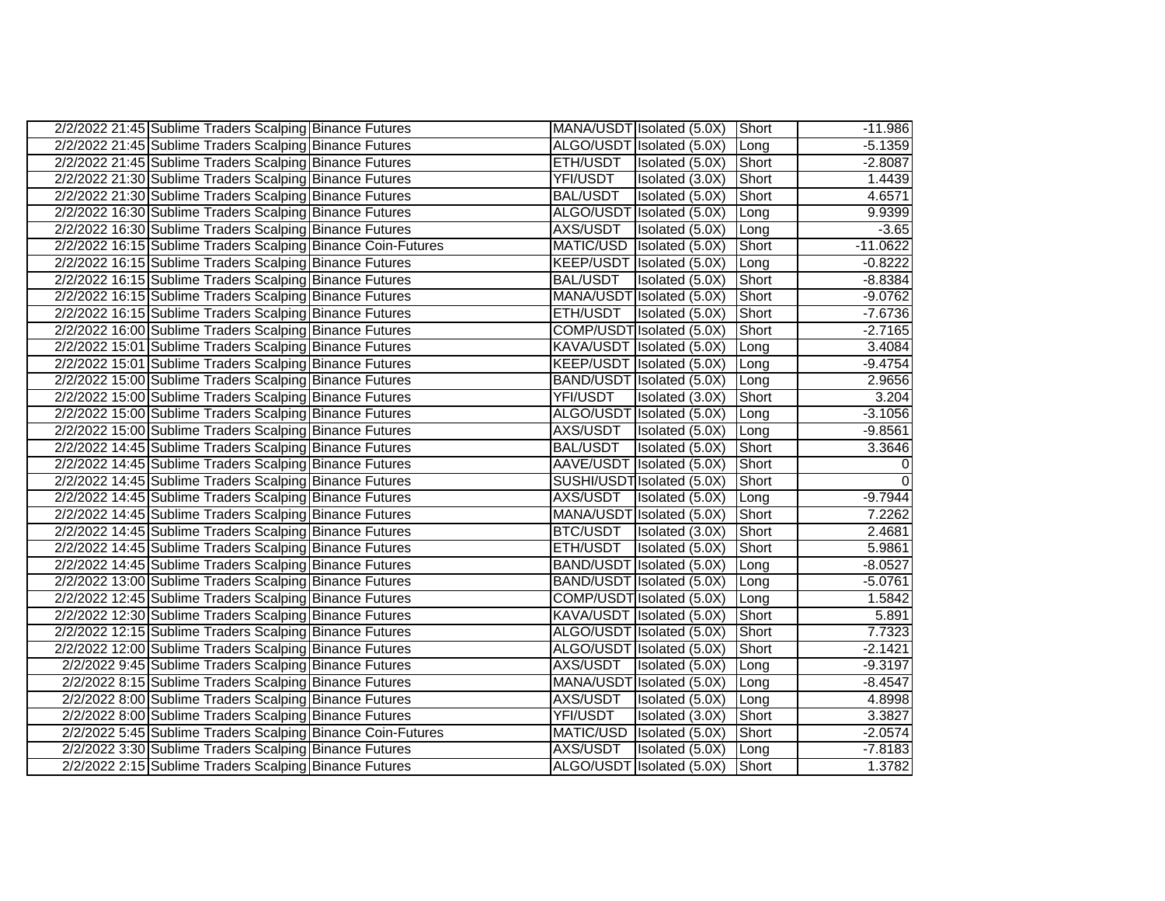| 2/2/2022 21:45 Sublime Traders Scalping Binance Futures      |                 | MANA/USDT Isolated (5.0X) Short |               | $-11.986$  |
|--------------------------------------------------------------|-----------------|---------------------------------|---------------|------------|
| 2/2/2022 21:45 Sublime Traders Scalping Binance Futures      |                 | ALGO/USDT Isolated (5.0X)       | Long          | $-5.1359$  |
| 2/2/2022 21:45 Sublime Traders Scalping Binance Futures      | ETH/USDT        | Isolated (5.0X)                 | Short         | $-2.8087$  |
| 2/2/2022 21:30 Sublime Traders Scalping Binance Futures      | YFI/USDT        | Isolated (3.0X)                 | Short         | 1.4439     |
| 2/2/2022 21:30 Sublime Traders Scalping Binance Futures      | <b>BAL/USDT</b> | Isolated (5.0X)                 | Short         | 4.6571     |
| 2/2/2022 16:30 Sublime Traders Scalping Binance Futures      |                 | ALGO/USDT Isolated (5.0X)       | Long          | 9.9399     |
| 2/2/2022 16:30 Sublime Traders Scalping Binance Futures      | AXS/USDT        | Isolated (5.0X)                 | Long          | $-3.65$    |
| 2/2/2022 16:15 Sublime Traders Scalping Binance Coin-Futures |                 | MATIC/USD Isolated (5.0X)       | <b>Short</b>  | $-11.0622$ |
| 2/2/2022 16:15 Sublime Traders Scalping Binance Futures      |                 | KEEP/USDT Isolated (5.0X)       | Long          | $-0.8222$  |
| 2/2/2022 16:15 Sublime Traders Scalping Binance Futures      | <b>BAL/USDT</b> | Isolated (5.0X)                 | Short         | $-8.8384$  |
| 2/2/2022 16:15 Sublime Traders Scalping Binance Futures      |                 | MANA/USDT Isolated (5.0X)       | Short         | $-9.0762$  |
| 2/2/2022 16:15 Sublime Traders Scalping Binance Futures      | ETH/USDT        | Isolated (5.0X)                 | Short         | $-7.6736$  |
| 2/2/2022 16:00 Sublime Traders Scalping Binance Futures      |                 | COMP/USDT Isolated (5.0X)       | <b>Short</b>  | $-2.7165$  |
| 2/2/2022 15:01 Sublime Traders Scalping Binance Futures      |                 | KAVA/USDT Isolated (5.0X)       | Long          | 3.4084     |
| 2/2/2022 15:01 Sublime Traders Scalping Binance Futures      |                 | KEEP/USDT Isolated (5.0X)       | Long          | $-9.4754$  |
| 2/2/2022 15:00 Sublime Traders Scalping Binance Futures      |                 | BAND/USDT Isolated (5.0X)       | ILong         | 2.9656     |
| 2/2/2022 15:00 Sublime Traders Scalping Binance Futures      | YFI/USDT        | Isolated (3.0X)                 | Short         | 3.204      |
| 2/2/2022 15:00 Sublime Traders Scalping Binance Futures      |                 | ALGO/USDT Isolated (5.0X)       | Long          | $-3.1056$  |
| 2/2/2022 15:00 Sublime Traders Scalping Binance Futures      |                 | AXS/USDT   Isolated (5.0X)      | Long          | $-9.8561$  |
| 2/2/2022 14:45 Sublime Traders Scalping Binance Futures      | BAL/USDT        | Isolated (5.0X)                 | <b>IShort</b> | 3.3646     |
| 2/2/2022 14:45 Sublime Traders Scalping Binance Futures      |                 | AAVE/USDT Isolated (5.0X)       | Short         | $\Omega$   |
| 2/2/2022 14:45 Sublime Traders Scalping Binance Futures      |                 | SUSHI/USDT Isolated (5.0X)      | Short         | $\Omega$   |
| 2/2/2022 14:45 Sublime Traders Scalping Binance Futures      | AXS/USDT        | Isolated (5.0X)                 | Long          | $-9.7944$  |
| 2/2/2022 14:45 Sublime Traders Scalping Binance Futures      |                 | MANA/USDT Isolated (5.0X)       | Short         | 7.2262     |
| 2/2/2022 14:45 Sublime Traders Scalping Binance Futures      | BTC/USDT        | Isolated (3.0X)                 | Short         | 2.4681     |
| 2/2/2022 14:45 Sublime Traders Scalping Binance Futures      | ETH/USDT        | Isolated (5.0X)                 | Short         | 5.9861     |
| 2/2/2022 14:45 Sublime Traders Scalping Binance Futures      |                 | BAND/USDT Isolated (5.0X)       | Long          | $-8.0527$  |
| 2/2/2022 13:00 Sublime Traders Scalping Binance Futures      |                 | BAND/USDT Isolated (5.0X)       | Long          | $-5.0761$  |
| 2/2/2022 12:45 Sublime Traders Scalping Binance Futures      |                 | COMP/USDT Isolated (5.0X)       | Long          | 1.5842     |
| 2/2/2022 12:30 Sublime Traders Scalping Binance Futures      |                 | KAVA/USDT Isolated (5.0X)       | Short         | 5.891      |
| 2/2/2022 12:15 Sublime Traders Scalping Binance Futures      |                 | ALGO/USDT Isolated (5.0X)       | Short         | 7.7323     |
| 2/2/2022 12:00 Sublime Traders Scalping Binance Futures      |                 | ALGO/USDT Isolated (5.0X)       | <b>IShort</b> | $-2.1421$  |
| 2/2/2022 9:45 Sublime Traders Scalping Binance Futures       | AXS/USDT        | Isolated (5.0X)                 | ILong         | $-9.3197$  |
| 2/2/2022 8:15 Sublime Traders Scalping Binance Futures       |                 | MANA/USDT Isolated (5.0X)       | <b>Long</b>   | $-8.4547$  |
| 2/2/2022 8:00 Sublime Traders Scalping Binance Futures       | AXS/USDT        | Isolated (5.0X)                 | Long          | 4.8998     |
| 2/2/2022 8:00 Sublime Traders Scalping Binance Futures       | YFI/USDT        | Isolated (3.0X)                 | Short         | 3.3827     |
| 2/2/2022 5:45 Sublime Traders Scalping Binance Coin-Futures  |                 | MATIC/USD Isolated (5.0X)       | Short         | $-2.0574$  |
| 2/2/2022 3:30 Sublime Traders Scalping Binance Futures       | AXS/USDT        | Isolated (5.0X)                 | Long          | $-7.8183$  |
| 2/2/2022 2:15 Sublime Traders Scalping Binance Futures       |                 | ALGO/USDT Isolated (5.0X)       | Short         | 1.3782     |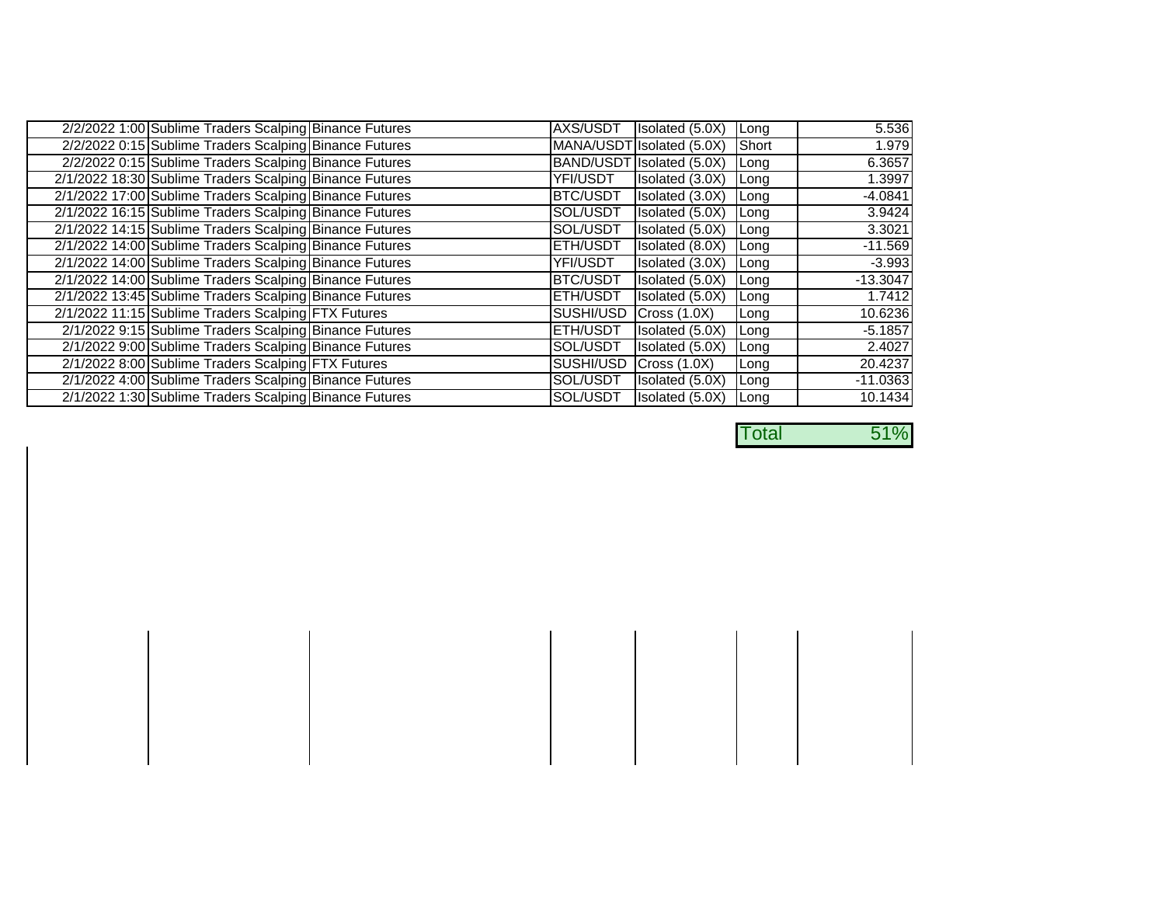| 2/2/2022 1:00 Sublime Traders Scalping Binance Futures  | AXS/USDT        | Isolated (5.0X)           | Long         | 5.536      |
|---------------------------------------------------------|-----------------|---------------------------|--------------|------------|
| 2/2/2022 0:15 Sublime Traders Scalping Binance Futures  |                 | MANA/USDT Isolated (5.0X) | Short        | 1.979      |
| 2/2/2022 0:15 Sublime Traders Scalping Binance Futures  |                 | BAND/USDT Isolated (5.0X) | Long         | 6.3657     |
| 2/1/2022 18:30 Sublime Traders Scalping Binance Futures | YFI/USDT        | Isolated (3.0X)           | Long         | 1.3997     |
| 2/1/2022 17:00 Sublime Traders Scalping Binance Futures | BTC/USDT        | Isolated (3.0X)           | Long         | $-4.0841$  |
| 2/1/2022 16:15 Sublime Traders Scalping Binance Futures | SOL/USDT        | Isolated (5.0X)           | Long         | 3.9424     |
| 2/1/2022 14:15 Sublime Traders Scalping Binance Futures | SOL/USDT        | Isolated (5.0X)           | <b>Long</b>  | 3.3021     |
| 2/1/2022 14:00 Sublime Traders Scalping Binance Futures | <b>ETH/USDT</b> | Isolated (8.0X)           | Long         | $-11.569$  |
| 2/1/2022 14:00 Sublime Traders Scalping Binance Futures | YFI/USDT        | Isolated (3.0X)           | Long         | $-3.993$   |
| 2/1/2022 14:00 Sublime Traders Scalping Binance Futures | <b>BTC/USDT</b> | Isolated (5.0X)           | Long         | $-13.3047$ |
| 2/1/2022 13:45 Sublime Traders Scalping Binance Futures | <b>ETH/USDT</b> | Isolated (5.0X)           | Long         | 1.7412     |
| 2/1/2022 11:15 Sublime Traders Scalping FTX Futures     | SUSHI/USD       | Cross(1.0X)               | Long         | 10.6236    |
| 2/1/2022 9:15 Sublime Traders Scalping Binance Futures  | <b>ETH/USDT</b> | Isolated (5.0X)           | Long         | $-5.1857$  |
| 2/1/2022 9:00 Sublime Traders Scalping Binance Futures  | SOL/USDT        | Isolated (5.0X)           | Long         | 2.4027     |
| 2/1/2022 8:00 Sublime Traders Scalping FTX Futures      | SUSHI/USD       | Cross(1.0X)               | <b>ILong</b> | 20.4237    |
| 2/1/2022 4:00 Sublime Traders Scalping Binance Futures  | SOL/USDT        | Isolated (5.0X)           | Long         | $-11.0363$ |
| 2/1/2022 1:30 Sublime Traders Scalping Binance Futures  | SOL/USDT        | Isolated (5.0X)           | Long         | 10.1434    |

Total 51%